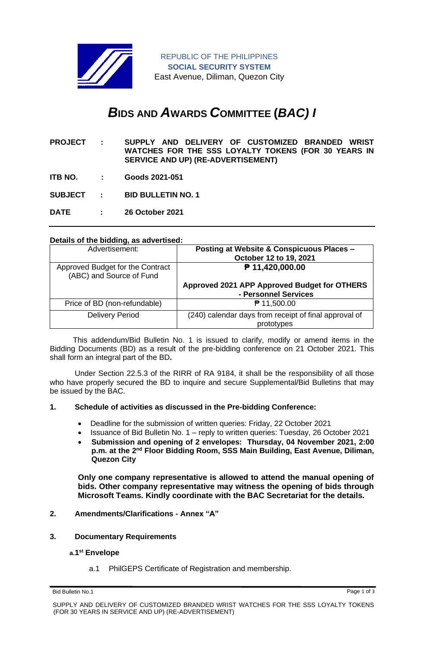

REPUBLIC OF THE PHILIPPINES **SOCIAL SECURITY SYSTEM** East Avenue, Diliman, Quezon City

# *B***IDS AND** *A***WARDS** *C***OMMITTEE (***BAC) I*

- **PROJECT : SUPPLY AND DELIVERY OF CUSTOMIZED BRANDED WRIST WATCHES FOR THE SSS LOYALTY TOKENS (FOR 30 YEARS IN SERVICE AND UP) (RE-ADVERTISEMENT)**
- **ITB NO. : Goods 2021-051**

**SUBJECT : BID BULLETIN NO. 1**

**DATE : 26 October 2021**

## **Details of the bidding, as advertised:**

| Advertisement:                                               | Posting at Website & Conspicuous Places -<br>October 12 to 19, 2021  |
|--------------------------------------------------------------|----------------------------------------------------------------------|
| Approved Budget for the Contract<br>(ABC) and Source of Fund | ₱ 11,420,000.00                                                      |
|                                                              | Approved 2021 APP Approved Budget for OTHERS<br>- Personnel Services |
| Price of BD (non-refundable)                                 | ₱ 11,500.00                                                          |
| <b>Delivery Period</b>                                       | (240) calendar days from receipt of final approval of<br>prototypes  |

 This addendum/Bid Bulletin No. 1 is issued to clarify, modify or amend items in the Bidding Documents (BD) as a result of the pre-bidding conference on 21 October 2021. This shall form an integral part of the BD**.**

Under Section 22.5.3 of the RIRR of RA 9184, it shall be the responsibility of all those who have properly secured the BD to inquire and secure Supplemental/Bid Bulletins that may be issued by the BAC.

#### **1. Schedule of activities as discussed in the Pre-bidding Conference:**

- Deadline for the submission of written queries: Friday, 22 October 2021
- Issuance of Bid Bulletin No. 1 reply to written queries: Tuesday, 26 October 2021
- **Submission and opening of 2 envelopes: Thursday, 04 November 2021, 2:00 p.m. at the 2nd Floor Bidding Room, SSS Main Building, East Avenue, Diliman, Quezon City**

**Only one company representative is allowed to attend the manual opening of bids. Other company representative may witness the opening of bids through Microsoft Teams. Kindly coordinate with the BAC Secretariat for the details.**

## **2. Amendments/Clarifications - Annex "A"**

## **3. Documentary Requirements**

#### **a.1 st Envelope**

a.1 PhilGEPS Certificate of Registration and membership.

Bid Bulletin No.1 Page 1 of 3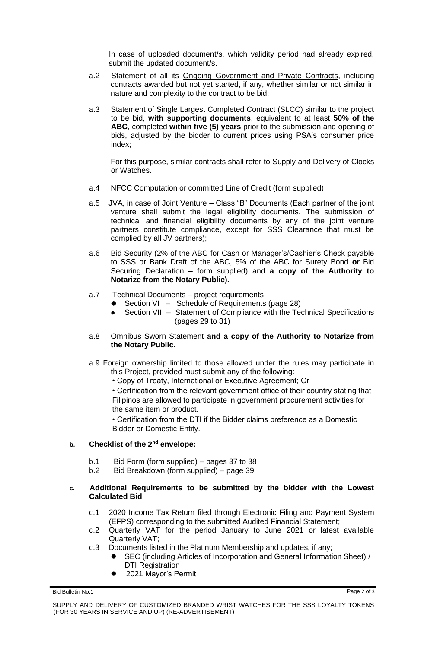In case of uploaded document/s, which validity period had already expired, submit the updated document/s.

- a.2 Statement of all its Ongoing Government and Private Contracts, including contracts awarded but not yet started, if any, whether similar or not similar in nature and complexity to the contract to be bid;
- a.3 Statement of Single Largest Completed Contract (SLCC) similar to the project to be bid, **with supporting documents**, equivalent to at least **50% of the ABC**, completed **within five (5) years** prior to the submission and opening of bids, adjusted by the bidder to current prices using PSA's consumer price index;

For this purpose, similar contracts shall refer to Supply and Delivery of Clocks or Watches.

- a.4 NFCC Computation or committed Line of Credit (form supplied)
- a.5 JVA, in case of Joint Venture Class "B" Documents (Each partner of the joint venture shall submit the legal eligibility documents. The submission of technical and financial eligibility documents by any of the joint venture partners constitute compliance, except for SSS Clearance that must be complied by all JV partners);
- a.6 Bid Security (2% of the ABC for Cash or Manager's/Cashier's Check payable to SSS or Bank Draft of the ABC, 5% of the ABC for Surety Bond **or** Bid Securing Declaration – form supplied) and **a copy of the Authority to Notarize from the Notary Public).**
- a.7 Technical Documents project requirements
	- Section VI Schedule of Requirements (page 28)
	- Section VII Statement of Compliance with the Technical Specifications (pages 29 to 31)
- a.8 Omnibus Sworn Statement **and a copy of the Authority to Notarize from the Notary Public.**
- a.9 Foreign ownership limited to those allowed under the rules may participate in this Project, provided must submit any of the following:
	- Copy of Treaty, International or Executive Agreement; Or

• Certification from the relevant government office of their country stating that Filipinos are allowed to participate in government procurement activities for the same item or product.

• Certification from the DTI if the Bidder claims preference as a Domestic Bidder or Domestic Entity.

### **b. Checklist of the 2nd envelope:**

- b.1 Bid Form (form supplied) pages 37 to 38
- b.2 Bid Breakdown (form supplied) page 39

#### **c. Additional Requirements to be submitted by the bidder with the Lowest Calculated Bid**

- c.1 2020 Income Tax Return filed through Electronic Filing and Payment System (EFPS) corresponding to the submitted Audited Financial Statement;
- c.2 Quarterly VAT for the period January to June 2021 or latest available Quarterly VAT;
- c.3 Documents listed in the Platinum Membership and updates, if any;
	- SEC (including Articles of Incorporation and General Information Sheet) / DTI Registration
	- ⚫ 2021 Mayor's Permit